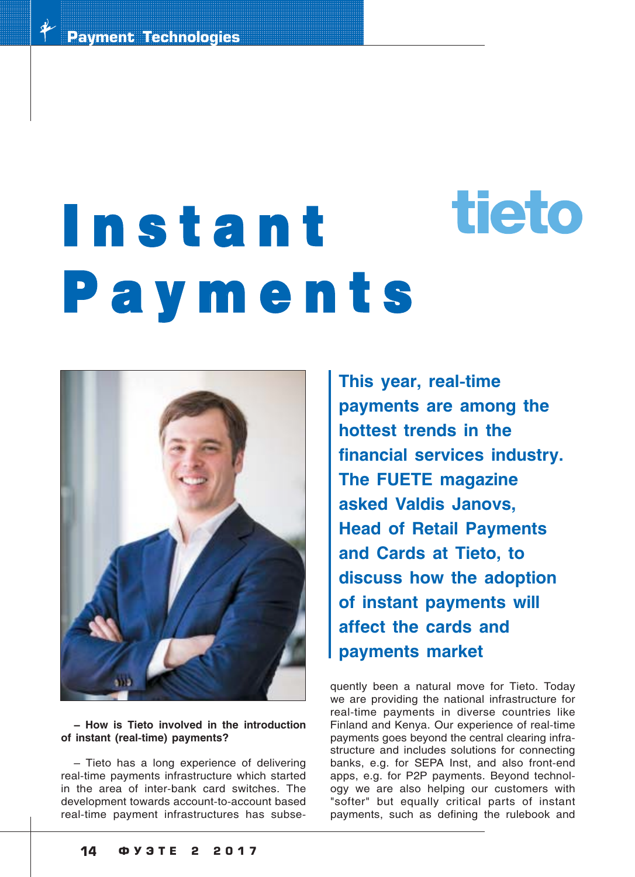# tieto I n s t a n t P a y m e n t s



**– How is Tieto involved in the introduction** of instant (real-time) payments?

– Tieto has a long experience of delivering real-time payments infrastructure which started in the area of inter-bank card switches. The development towards account-to-account based real-time payment infrastructures has subse-

**This year, real-time payments are among the hottest trends in the financial services industry. The FUETE magazine asked Valdis Janovs, Head of Retail Payments and Cards at Tieto, to discuss how the adoption of instant payments will affect the cards and payments market**

quently been a natural move for Tieto. Today we are providing the national infrastructure for real-time payments in diverse countries like Finland and Kenya. Our experience of real-time payments goes beyond the central clearing infra structure and includes solutions for connecting banks, e.g. for SEPA Inst, and also front-end apps, e.g. for P2P payments. Beyond technol ogy we are also helping our customers with "softer" but equally critical parts of instant payments, such as defining the rulebook and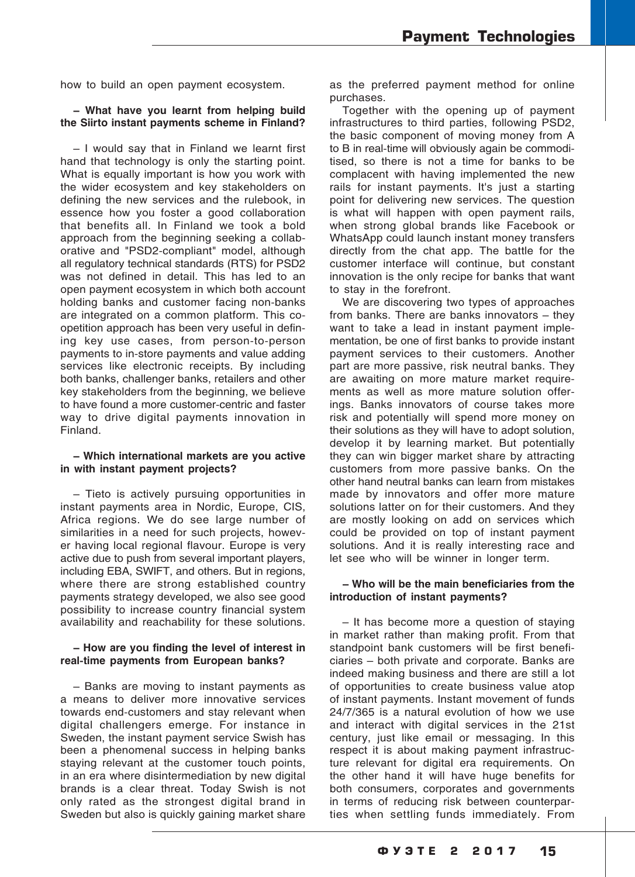how to build an open payment ecosystem.

## **– What have you learnt from helping build the Siirto instant payments scheme in Finland?**

– I would say that in Finland we learnt first hand that technology is only the starting point. What is equally important is how you work with the wider ecosystem and key stakeholders on defining the new services and the rulebook, in essence how you foster a good collaboration that benefits all. In Finland we took a bold approach from the beginning seeking a collab orative and "PSD2compliant" model, although all regulatory technical standards (RTS) for PSD2 was not defined in detail. This has led to an open payment ecosystem in which both account holding banks and customer facing non-banks are integrated on a common platform. This co opetition approach has been very useful in defin ing key use cases, from person-to-person payments to in-store payments and value adding services like electronic receipts. By including both banks, challenger banks, retailers and other key stakeholders from the beginning, we believe to have found a more customer-centric and faster way to drive digital payments innovation in Finland.

#### **– Which international markets are you active in with instant payment projects?**

– Tieto is actively pursuing opportunities in instant payments area in Nordic, Europe, CIS, Africa regions. We do see large number of similarities in a need for such projects, howev er having local regional flavour. Europe is very active due to push from several important players, including EBA, SWIFT, and others. But in regions, where there are strong established country payments strategy developed, we also see good possibility to increase country financial system availability and reachability for these solutions.

# **– How are you finding the level of interest in** real-time payments from European banks?

– Banks are moving to instant payments as a means to deliver more innovative services towards end-customers and stay relevant when digital challengers emerge. For instance in Sweden, the instant payment service Swish has been a phenomenal success in helping banks staying relevant at the customer touch points, in an era where disintermediation by new digital brands is a clear threat. Today Swish is not only rated as the strongest digital brand in Sweden but also is quickly gaining market share

as the preferred payment method for online purchases.

Together with the opening up of payment infrastructures to third parties, following PSD2, the basic component of moving money from A to B in real-time will obviously again be commoditised, so there is not a time for banks to be complacent with having implemented the new rails for instant payments. It's just a starting point for delivering new services. The question is what will happen with open payment rails, when strong global brands like Facebook or WhatsApp could launch instant money transfers directly from the chat app. The battle for the customer interface will continue, but constant innovation is the only recipe for banks that want to stay in the forefront.

We are discovering two types of approaches from banks. There are banks innovators – they want to take a lead in instant payment imple mentation, be one of first banks to provide instant payment services to their customers. Another part are more passive, risk neutral banks. They are awaiting on more mature market require ments as well as more mature solution offer ings. Banks innovators of course takes more risk and potentially will spend more money on their solutions as they will have to adopt solution, develop it by learning market. But potentially they can win bigger market share by attracting customers from more passive banks. On the other hand neutral banks can learn from mistakes made by innovators and offer more mature solutions latter on for their customers. And they are mostly looking on add on services which could be provided on top of instant payment solutions. And it is really interesting race and let see who will be winner in longer term.

# **– Who will be the main beneficiaries from the introduction of instant payments?**

– It has become more a question of staying in market rather than making profit. From that standpoint bank customers will be first benefi ciaries – both private and corporate. Banks are indeed making business and there are still a lot of opportunities to create business value atop of instant payments. Instant movement of funds 24/7/365 is a natural evolution of how we use and interact with digital services in the 21st century, just like email or messaging. In this respect it is about making payment infrastruc ture relevant for digital era requirements. On the other hand it will have huge benefits for both consumers, corporates and governments in terms of reducing risk between counterpar ties when settling funds immediately. From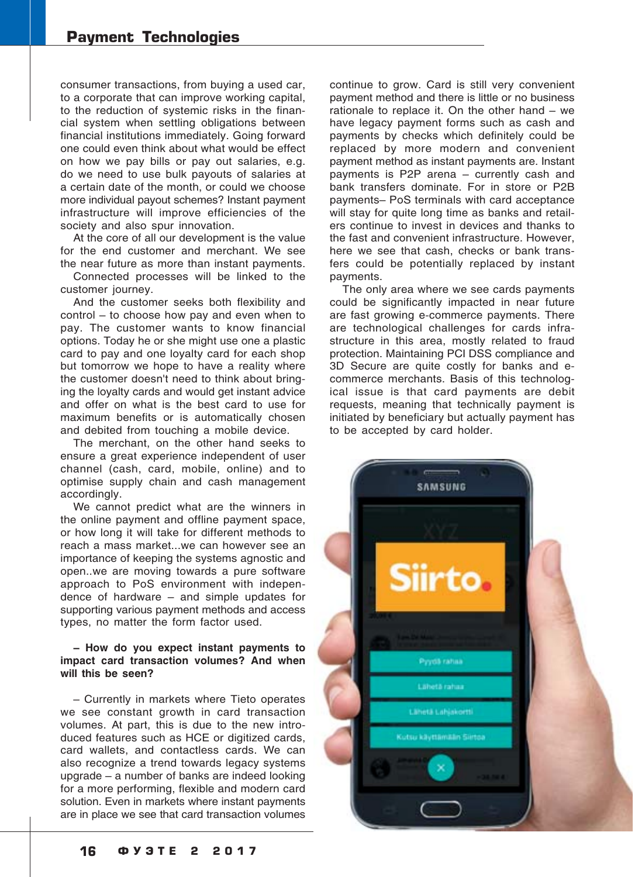consumer transactions, from buying a used car, to a corporate that can improve working capital, to the reduction of systemic risks in the finan cial system when settling obligations between financial institutions immediately. Going forward one could even think about what would be effect on how we pay bills or pay out salaries, e.g. do we need to use bulk payouts of salaries at a certain date of the month, or could we choose more individual payout schemes? Instant payment infrastructure will improve efficiencies of the society and also spur innovation.

At the core of all our development is the value for the end customer and merchant. We see the near future as more than instant payments.

Connected processes will be linked to the customer journey.

And the customer seeks both flexibility and control – to choose how pay and even when to pay. The customer wants to know financial options. Today he or she might use one a plastic card to pay and one loyalty card for each shop but tomorrow we hope to have a reality where the customer doesn't need to think about bring ing the loyalty cards and would get instant advice and offer on what is the best card to use for maximum benefits or is automatically chosen and debited from touching a mobile device.

The merchant, on the other hand seeks to ensure a great experience independent of user channel (cash, card, mobile, online) and to optimise supply chain and cash management accordingly.

We cannot predict what are the winners in the online payment and offline payment space, or how long it will take for different methods to reach a mass market...we can however see an importance of keeping the systems agnostic and open..we are moving towards a pure software approach to PoS environment with indepen dence of hardware – and simple updates for supporting various payment methods and access types, no matter the form factor used.

#### **– How do you expect instant payments to impact card transaction volumes? And when will this be seen?**

– Currently in markets where Tieto operates we see constant growth in card transaction volumes. At part, this is due to the new intro duced features such as HCE or digitized cards, card wallets, and contactless cards. We can also recognize a trend towards legacy systems upgrade – a number of banks are indeed looking for a more performing, flexible and modern card solution. Even in markets where instant payments are in place we see that card transaction volumes

continue to grow. Card is still very convenient payment method and there is little or no business rationale to replace it. On the other hand – we have legacy payment forms such as cash and payments by checks which definitely could be replaced by more modern and convenient payment method as instant payments are. Instant payments is P2P arena – currently cash and bank transfers dominate. For in store or P2B payments– PoS terminals with card acceptance will stay for quite long time as banks and retail ers continue to invest in devices and thanks to the fast and convenient infrastructure. However, here we see that cash, checks or bank trans fers could be potentially replaced by instant payments.

The only area where we see cards payments could be significantly impacted in near future are fast growing e-commerce payments. There are technological challenges for cards infra structure in this area, mostly related to fraud protection. Maintaining PCI DSS compliance and 3D Secure are quite costly for banks and e commerce merchants. Basis of this technolog ical issue is that card payments are debit requests, meaning that technically payment is initiated by beneficiary but actually payment has to be accepted by card holder.